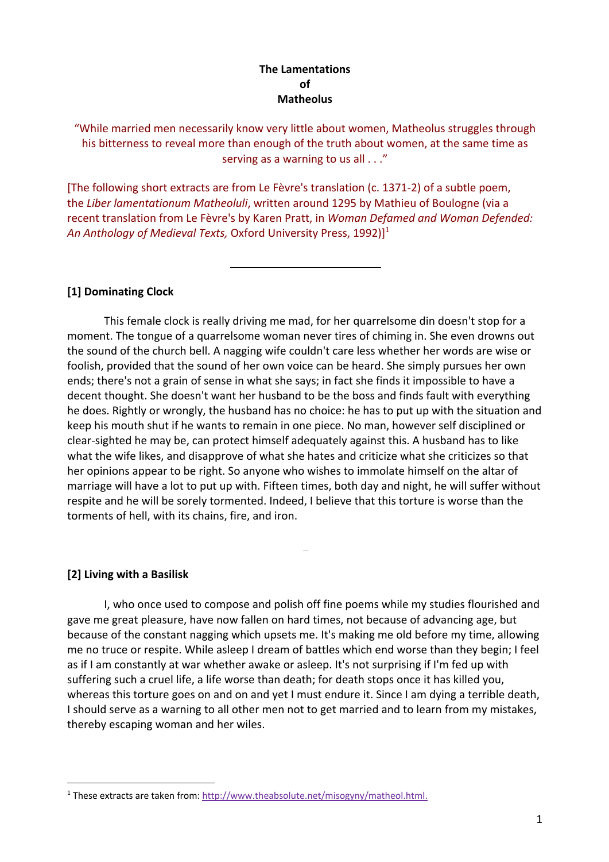## **The Lamentations of Matheolus**

"While married men necessarily know very little about women, Matheolus struggles through his bitterness to reveal more than enough of the truth about women, at the same time as serving as a warning to us all . . ."

[The following short extracts are from Le Fèvre's translation (c. 1371-2) of a subtle poem, the *Liber lamentationum Matheoluli*, written around 1295 by Mathieu of Boulogne (via a recent translation from Le Fèvre's by Karen Pratt, in *Woman Defamed and Woman Defended: An Anthology of Medieval Texts,* Oxford University Press, 1992)]1

## **[1] Dominating Clock**

This female clock is really driving me mad, for her quarrelsome din doesn't stop for a moment. The tongue of a quarrelsome woman never tires of chiming in. She even drowns out the sound of the church bell. A nagging wife couldn't care less whether her words are wise or foolish, provided that the sound of her own voice can be heard. She simply pursues her own ends; there's not a grain of sense in what she says; in fact she finds it impossible to have a decent thought. She doesn't want her husband to be the boss and finds fault with everything he does. Rightly or wrongly, the husband has no choice: he has to put up with the situation and keep his mouth shut if he wants to remain in one piece. No man, however self disciplined or clear-sighted he may be, can protect himself adequately against this. A husband has to like what the wife likes, and disapprove of what she hates and criticize what she criticizes so that her opinions appear to be right. So anyone who wishes to immolate himself on the altar of marriage will have a lot to put up with. Fifteen times, both day and night, he will suffer without respite and he will be sorely tormented. Indeed, I believe that this torture is worse than the torments of hell, with its chains, fire, and iron.

### **[2] Living with a Basilisk**

I, who once used to compose and polish off fine poems while my studies flourished and gave me great pleasure, have now fallen on hard times, not because of advancing age, but because of the constant nagging which upsets me. It's making me old before my time, allowing me no truce or respite. While asleep I dream of battles which end worse than they begin; I feel as if I am constantly at war whether awake or asleep. It's not surprising if I'm fed up with suffering such a cruel life, a life worse than death; for death stops once it has killed you, whereas this torture goes on and on and yet I must endure it. Since I am dying a terrible death, I should serve as a warning to all other men not to get married and to learn from my mistakes, thereby escaping woman and her wiles.

<sup>&</sup>lt;sup>1</sup> These extracts are taken from: http://www.theabsolute.net/misogyny/matheol.html.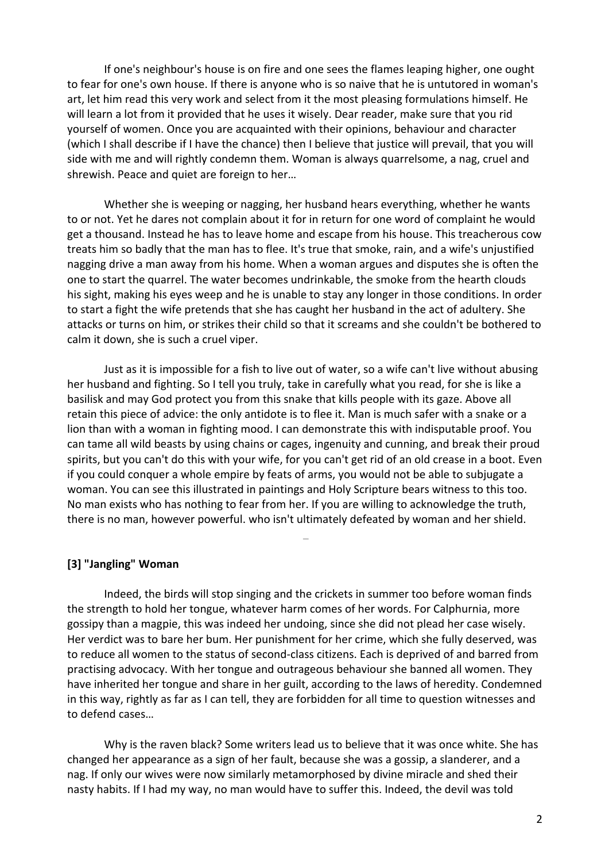If one's neighbour's house is on fire and one sees the flames leaping higher, one ought to fear for one's own house. If there is anyone who is so naive that he is untutored in woman's art, let him read this very work and select from it the most pleasing formulations himself. He will learn a lot from it provided that he uses it wisely. Dear reader, make sure that you rid yourself of women. Once you are acquainted with their opinions, behaviour and character (which I shall describe if I have the chance) then I believe that justice will prevail, that you will side with me and will rightly condemn them. Woman is always quarrelsome, a nag, cruel and shrewish. Peace and quiet are foreign to her…

Whether she is weeping or nagging, her husband hears everything, whether he wants to or not. Yet he dares not complain about it for in return for one word of complaint he would get a thousand. Instead he has to leave home and escape from his house. This treacherous cow treats him so badly that the man has to flee. It's true that smoke, rain, and a wife's unjustified nagging drive a man away from his home. When a woman argues and disputes she is often the one to start the quarrel. The water becomes undrinkable, the smoke from the hearth clouds his sight, making his eyes weep and he is unable to stay any longer in those conditions. In order to start a fight the wife pretends that she has caught her husband in the act of adultery. She attacks or turns on him, or strikes their child so that it screams and she couldn't be bothered to calm it down, she is such a cruel viper.

Just as it is impossible for a fish to live out of water, so a wife can't live without abusing her husband and fighting. So I tell you truly, take in carefully what you read, for she is like a basilisk and may God protect you from this snake that kills people with its gaze. Above all retain this piece of advice: the only antidote is to flee it. Man is much safer with a snake or a lion than with a woman in fighting mood. I can demonstrate this with indisputable proof. You can tame all wild beasts by using chains or cages, ingenuity and cunning, and break their proud spirits, but you can't do this with your wife, for you can't get rid of an old crease in a boot. Even if you could conquer a whole empire by feats of arms, you would not be able to subjugate a woman. You can see this illustrated in paintings and Holy Scripture bears witness to this too. No man exists who has nothing to fear from her. If you are willing to acknowledge the truth, there is no man, however powerful. who isn't ultimately defeated by woman and her shield.

### **[3] "Jangling" Woman**

Indeed, the birds will stop singing and the crickets in summer too before woman finds the strength to hold her tongue, whatever harm comes of her words. For Calphurnia, more gossipy than a magpie, this was indeed her undoing, since she did not plead her case wisely. Her verdict was to bare her bum. Her punishment for her crime, which she fully deserved, was to reduce all women to the status of second-class citizens. Each is deprived of and barred from practising advocacy. With her tongue and outrageous behaviour she banned all women. They have inherited her tongue and share in her guilt, according to the laws of heredity. Condemned in this way, rightly as far as I can tell, they are forbidden for all time to question witnesses and to defend cases…

Why is the raven black? Some writers lead us to believe that it was once white. She has changed her appearance as a sign of her fault, because she was a gossip, a slanderer, and a nag. If only our wives were now similarly metamorphosed by divine miracle and shed their nasty habits. If I had my way, no man would have to suffer this. Indeed, the devil was told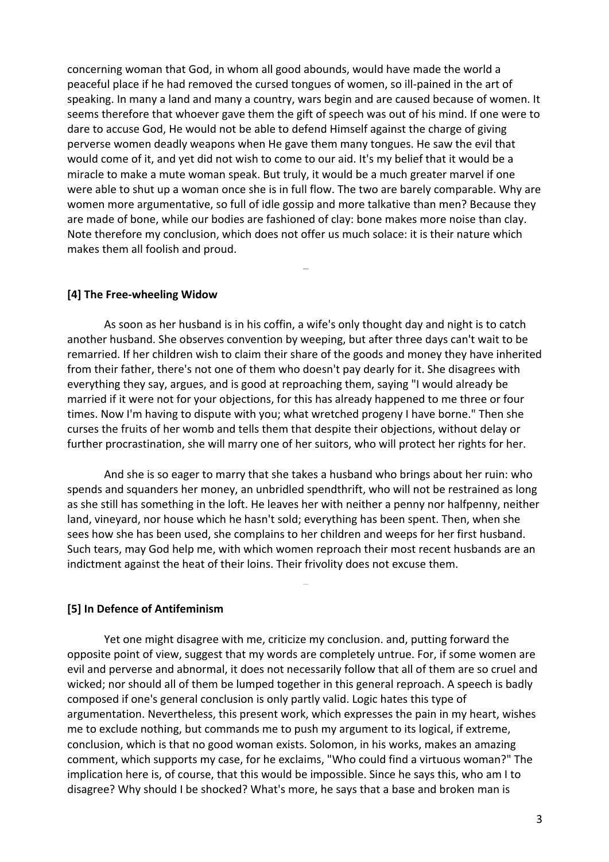concerning woman that God, in whom all good abounds, would have made the world a peaceful place if he had removed the cursed tongues of women, so ill-pained in the art of speaking. In many a land and many a country, wars begin and are caused because of women. It seems therefore that whoever gave them the gift of speech was out of his mind. If one were to dare to accuse God, He would not be able to defend Himself against the charge of giving perverse women deadly weapons when He gave them many tongues. He saw the evil that would come of it, and yet did not wish to come to our aid. It's my belief that it would be a miracle to make a mute woman speak. But truly, it would be a much greater marvel if one were able to shut up a woman once she is in full flow. The two are barely comparable. Why are women more argumentative, so full of idle gossip and more talkative than men? Because they are made of bone, while our bodies are fashioned of clay: bone makes more noise than clay. Note therefore my conclusion, which does not offer us much solace: it is their nature which makes them all foolish and proud.

### **[4] The Free-wheeling Widow**

As soon as her husband is in his coffin, a wife's only thought day and night is to catch another husband. She observes convention by weeping, but after three days can't wait to be remarried. If her children wish to claim their share of the goods and money they have inherited from their father, there's not one of them who doesn't pay dearly for it. She disagrees with everything they say, argues, and is good at reproaching them, saying "I would already be married if it were not for your objections, for this has already happened to me three or four times. Now I'm having to dispute with you; what wretched progeny I have borne." Then she curses the fruits of her womb and tells them that despite their objections, without delay or further procrastination, she will marry one of her suitors, who will protect her rights for her.

And she is so eager to marry that she takes a husband who brings about her ruin: who spends and squanders her money, an unbridled spendthrift, who will not be restrained as long as she still has something in the loft. He leaves her with neither a penny nor halfpenny, neither land, vineyard, nor house which he hasn't sold; everything has been spent. Then, when she sees how she has been used, she complains to her children and weeps for her first husband. Such tears, may God help me, with which women reproach their most recent husbands are an indictment against the heat of their loins. Their frivolity does not excuse them.

# **[5] In Defence of Antifeminism**

Yet one might disagree with me, criticize my conclusion. and, putting forward the opposite point of view, suggest that my words are completely untrue. For, if some women are evil and perverse and abnormal, it does not necessarily follow that all of them are so cruel and wicked; nor should all of them be lumped together in this general reproach. A speech is badly composed if one's general conclusion is only partly valid. Logic hates this type of argumentation. Nevertheless, this present work, which expresses the pain in my heart, wishes me to exclude nothing, but commands me to push my argument to its logical, if extreme, conclusion, which is that no good woman exists. Solomon, in his works, makes an amazing comment, which supports my case, for he exclaims, "Who could find a virtuous woman?" The implication here is, of course, that this would be impossible. Since he says this, who am I to disagree? Why should I be shocked? What's more, he says that a base and broken man is